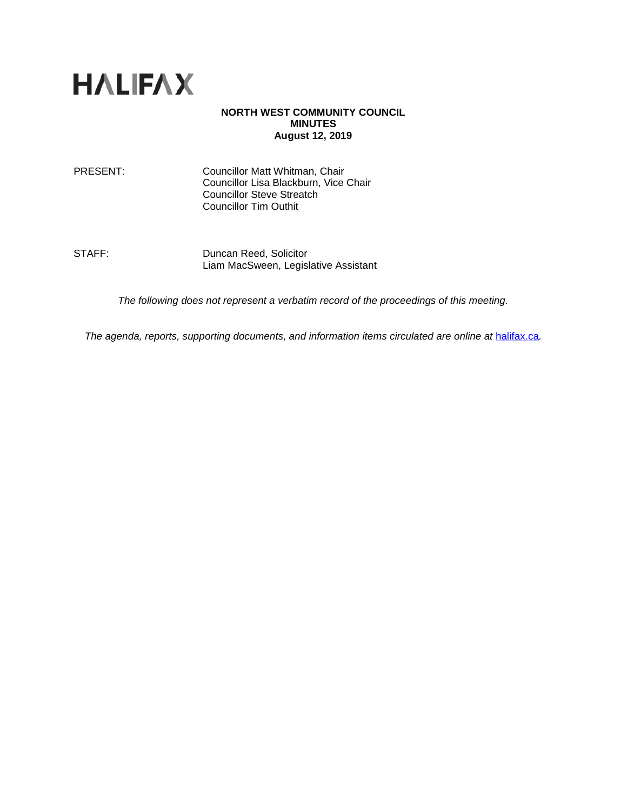

#### **NORTH WEST COMMUNITY COUNCIL MINUTES August 12, 2019**

PRESENT: Councillor Matt Whitman, Chair Councillor Lisa Blackburn, Vice Chair Councillor Steve Streatch Councillor Tim Outhit

STAFF: Duncan Reed, Solicitor Liam MacSween, Legislative Assistant

*The following does not represent a verbatim record of the proceedings of this meeting.*

*The agenda, reports, supporting documents, and information items circulated are online at [halifax.ca](http://www.halifax.ca/).*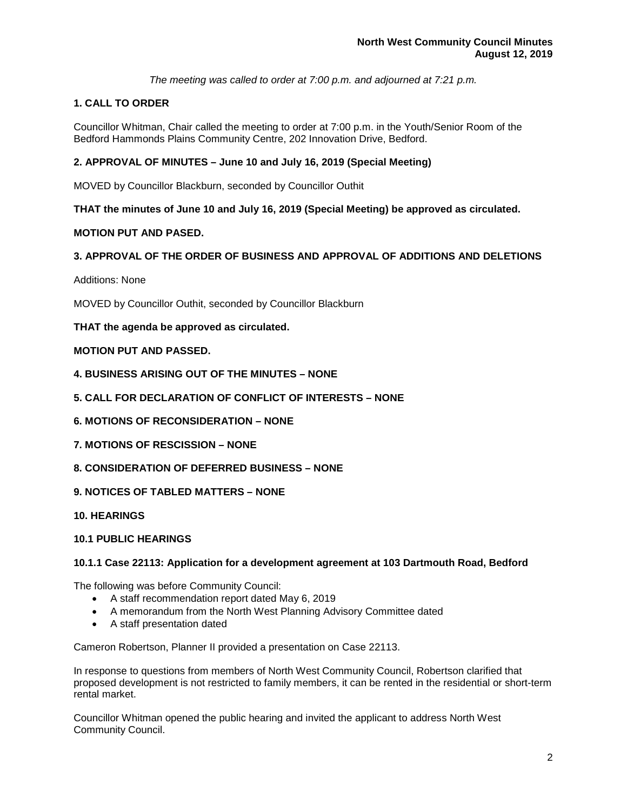*The meeting was called to order at 7:00 p.m. and adjourned at 7:21 p.m.*

# **1. CALL TO ORDER**

Councillor Whitman, Chair called the meeting to order at 7:00 p.m. in the Youth/Senior Room of the Bedford Hammonds Plains Community Centre, 202 Innovation Drive, Bedford.

# **2. APPROVAL OF MINUTES – June 10 and July 16, 2019 (Special Meeting)**

MOVED by Councillor Blackburn, seconded by Councillor Outhit

**THAT the minutes of June 10 and July 16, 2019 (Special Meeting) be approved as circulated.** 

### **MOTION PUT AND PASED.**

## **3. APPROVAL OF THE ORDER OF BUSINESS AND APPROVAL OF ADDITIONS AND DELETIONS**

Additions: None

MOVED by Councillor Outhit, seconded by Councillor Blackburn

### **THAT the agenda be approved as circulated.**

### **MOTION PUT AND PASSED.**

- **4. BUSINESS ARISING OUT OF THE MINUTES – NONE**
- **5. CALL FOR DECLARATION OF CONFLICT OF INTERESTS – NONE**
- **6. MOTIONS OF RECONSIDERATION – NONE**
- **7. MOTIONS OF RESCISSION – NONE**
- **8. CONSIDERATION OF DEFERRED BUSINESS – NONE**
- **9. NOTICES OF TABLED MATTERS – NONE**
- **10. HEARINGS**

#### **10.1 PUBLIC HEARINGS**

#### **10.1.1 Case 22113: Application for a development agreement at 103 Dartmouth Road, Bedford**

The following was before Community Council:

- A staff recommendation report dated May 6, 2019
- A memorandum from the North West Planning Advisory Committee dated
- A staff presentation dated

Cameron Robertson, Planner II provided a presentation on Case 22113.

In response to questions from members of North West Community Council, Robertson clarified that proposed development is not restricted to family members, it can be rented in the residential or short-term rental market.

Councillor Whitman opened the public hearing and invited the applicant to address North West Community Council.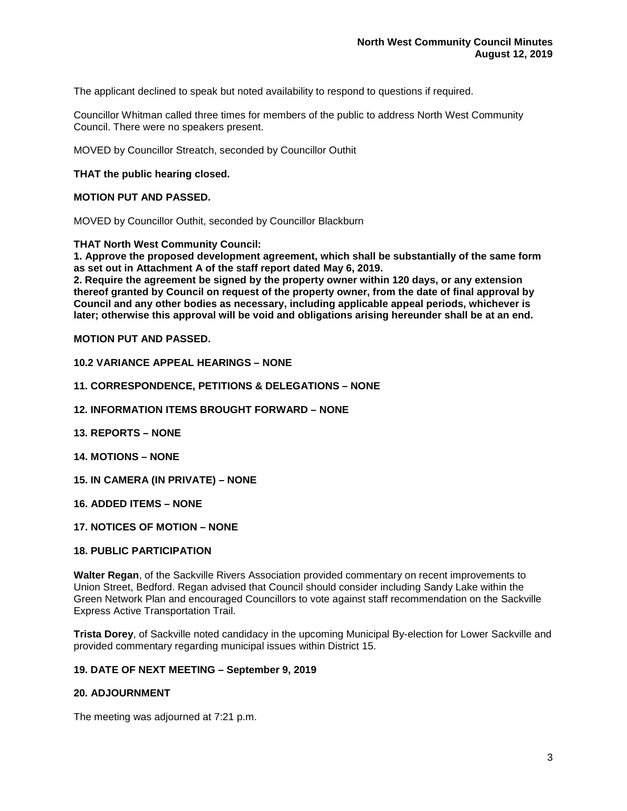The applicant declined to speak but noted availability to respond to questions if required.

Councillor Whitman called three times for members of the public to address North West Community Council. There were no speakers present.

MOVED by Councillor Streatch, seconded by Councillor Outhit

### **THAT the public hearing closed.**

### **MOTION PUT AND PASSED.**

MOVED by Councillor Outhit, seconded by Councillor Blackburn

#### **THAT North West Community Council:**

**1. Approve the proposed development agreement, which shall be substantially of the same form as set out in Attachment A of the staff report dated May 6, 2019.**

**2. Require the agreement be signed by the property owner within 120 days, or any extension thereof granted by Council on request of the property owner, from the date of final approval by Council and any other bodies as necessary, including applicable appeal periods, whichever is later; otherwise this approval will be void and obligations arising hereunder shall be at an end.**

### **MOTION PUT AND PASSED.**

#### **10.2 VARIANCE APPEAL HEARINGS – NONE**

#### **11. CORRESPONDENCE, PETITIONS & DELEGATIONS – NONE**

- **12. INFORMATION ITEMS BROUGHT FORWARD – NONE**
- **13. REPORTS – NONE**
- **14. MOTIONS – NONE**
- **15. IN CAMERA (IN PRIVATE) – NONE**
- **16. ADDED ITEMS – NONE**
- **17. NOTICES OF MOTION – NONE**

#### **18. PUBLIC PARTICIPATION**

**Walter Regan**, of the Sackville Rivers Association provided commentary on recent improvements to Union Street, Bedford. Regan advised that Council should consider including Sandy Lake within the Green Network Plan and encouraged Councillors to vote against staff recommendation on the Sackville Express Active Transportation Trail.

**Trista Dorey**, of Sackville noted candidacy in the upcoming Municipal By-election for Lower Sackville and provided commentary regarding municipal issues within District 15.

### **19. DATE OF NEXT MEETING – September 9, 2019**

### **20. ADJOURNMENT**

The meeting was adjourned at 7:21 p.m.